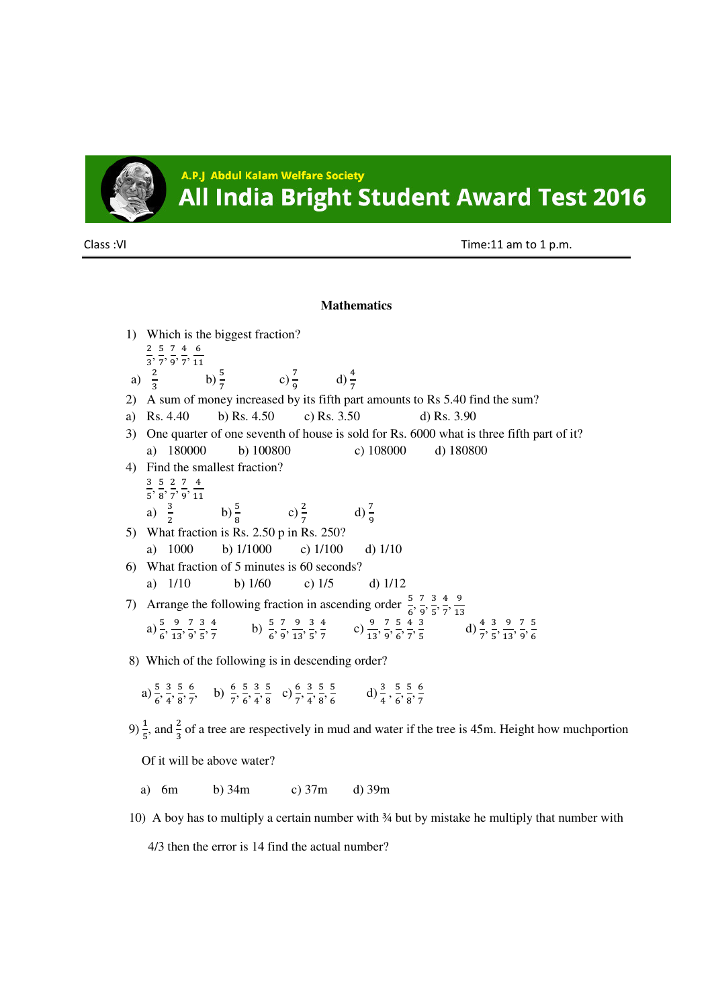

A.P.J Abdul Kalam Welfare Society All India Bright Student Award Test 2016

Class :VI Time:11 am to 1 p.m.

## **Mathematics**

1) Which is the biggest fraction?  $\frac{2}{3}, \frac{5}{7}$  $\frac{5}{7}, \frac{7}{9}$  $\frac{7}{9}$ ,  $\frac{4}{7}$  $\frac{4}{7}, \frac{6}{11}$  $11$ a)  $\frac{2}{3}$ b)  $\frac{5}{7}$ c)  $\frac{7}{9}$ d)  $\frac{4}{7}$ 2) A sum of money increased by its fifth part amounts to Rs 5.40 find the sum? a) Rs. 4.40 b) Rs. 4.50 c) Rs. 3.50 d) Rs. 3.90 3) One quarter of one seventh of house is sold for Rs. 6000 what is three fifth part of it? a) 180000 b) 100800 c) 108000 d) 180800 4) Find the smallest fraction?  $\overline{3}$  $\frac{3}{5}, \frac{5}{8}$  $\frac{5}{8}, \frac{2}{7}, \frac{7}{9}$  $\frac{7}{9}, \frac{4}{11}$  $11$ a)  $\frac{3}{2}$ b)  $\frac{5}{8}$  c)  $\frac{2}{7}$ d)  $\frac{7}{9}$ 5) What fraction is Rs. 2.50 p in Rs. 250? a) 1000 b) 1/1000 c) 1/100 d) 1/10 6) What fraction of 5 minutes is 60 seconds? a) 1/10 b) 1/60 c) 1/5 d) 1/12 7) Arrange the following fraction in ascending order  $\frac{5}{6}, \frac{7}{9}$  $\frac{7}{9}$ ,  $\frac{3}{5}$  $\frac{3}{5}, \frac{4}{7}$  $\frac{4}{7}, \frac{9}{13}$ 13 a)  $\frac{5}{6}, \frac{9}{13}$  $\frac{9}{13}, \frac{7}{9}$  $\frac{7}{9}$ ,  $\frac{3}{5}$  $\frac{3}{5}, \frac{4}{7}$  $\frac{4}{7}$  b)  $\frac{5}{6}, \frac{7}{9}$  $\frac{7}{9}, \frac{9}{13}$  $\frac{9}{13}, \frac{3}{5}$  $\frac{3}{5}, \frac{4}{7}$  $\frac{4}{7}$  c)  $\frac{9}{13}, \frac{7}{9}$  $\frac{7}{9}$ ,  $\frac{5}{6}$  $\frac{5}{6}, \frac{4}{7}$  $\frac{4}{7}, \frac{3}{5}$  $\frac{3}{5}$  d)  $\frac{4}{7}, \frac{3}{5}$  $\frac{3}{5}, \frac{9}{15}$  $\frac{9}{13}, \frac{7}{9}$  $\frac{7}{9}, \frac{5}{6}$ 6 8) Which of the following is in descending order? a)  $\frac{5}{6}, \frac{3}{4}$  $\frac{3}{4}$ ,  $\frac{5}{8}$  $\frac{5}{8}, \frac{6}{7}$  $\frac{6}{7}$ , b)  $\frac{6}{7}$ ,  $\frac{5}{6}$  $\frac{5}{6}, \frac{3}{4}$  $\frac{3}{4}$ ,  $\frac{5}{8}$  $\frac{5}{8}$  c)  $\frac{6}{7}, \frac{3}{4}$  $\frac{3}{4}$ ,  $\frac{5}{8}$  $\frac{5}{8}$ ,  $\frac{5}{6}$  $\frac{5}{6}$  d)  $\frac{3}{4}$ ,  $\frac{5}{6}$  $\frac{5}{6}, \frac{5}{8}$  $\frac{5}{8}, \frac{6}{7}$  $\overline{7}$ 9)  $\frac{1}{5}$ , and  $\frac{2}{3}$  of a tree are respectively in mud and water if the tree is 45m. Height how much portion Of it will be above water?

- a) 6m b) 34m c) 37m d) 39m
- 10) A boy has to multiply a certain number with ¾ but by mistake he multiply that number with

4/3 then the error is 14 find the actual number?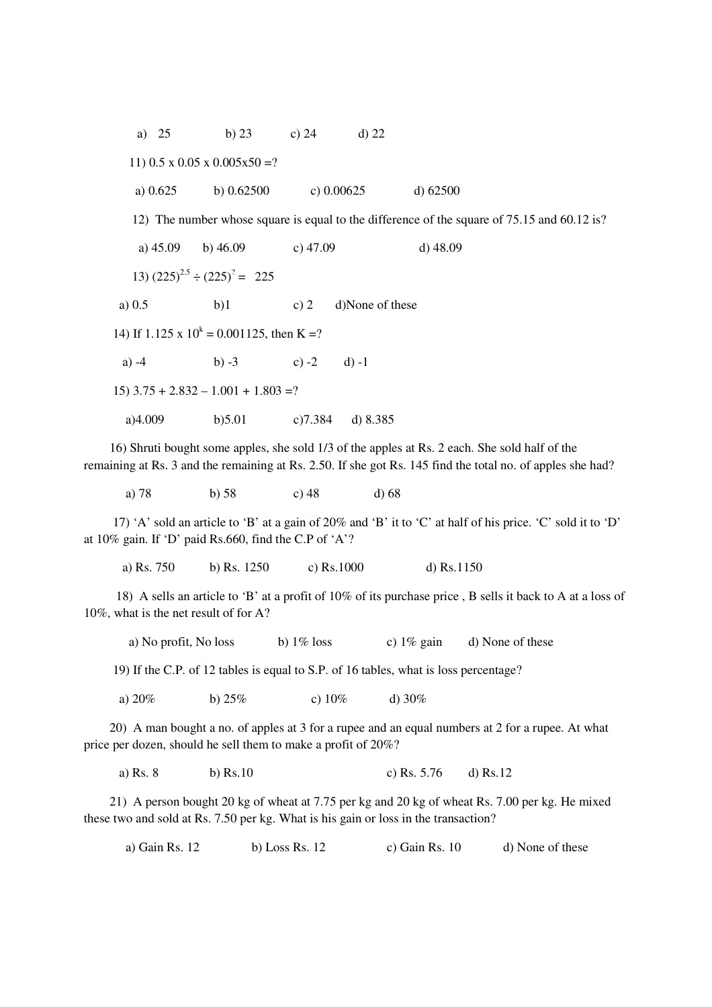a) 25 b) 23 c) 24 d) 22 11)  $0.5 \times 0.05 \times 0.005 \times 50 = ?$  a) 0.625 b) 0.62500 c) 0.00625 d) 62500 12) The number whose square is equal to the difference of the square of 75.15 and 60.12 is? a) 45.09 b) 46.09 c) 47.09 d) 48.09 13)  $(225)^{2.5} \div (225)^{7} = 225$ a)  $0.5$  b)1 c) 2 d)None of these 14) If  $1.125 \times 10^k = 0.001125$ , then K =? a)  $-4$  b)  $-3$  c)  $-2$  d)  $-1$  $15)$  3.75 + 2.832 - 1.001 + 1.803 =? a)4.009 b)5.01 c)7.384 d) 8.385

 16) Shruti bought some apples, she sold 1/3 of the apples at Rs. 2 each. She sold half of the remaining at Rs. 3 and the remaining at Rs. 2.50. If she got Rs. 145 find the total no. of apples she had?

a) 78 b) 58 c) 48 d) 68

 17) 'A' sold an article to 'B' at a gain of 20% and 'B' it to 'C' at half of his price. 'C' sold it to 'D' at 10% gain. If 'D' paid Rs.660, find the C.P of 'A'?

a) Rs. 750 b) Rs. 1250 c) Rs.1000 d) Rs.1150

 18) A sells an article to 'B' at a profit of 10% of its purchase price , B sells it back to A at a loss of 10%, what is the net result of for A?

a) No profit, No loss b)  $1\%$  loss c)  $1\%$  gain d) None of these

19) If the C.P. of 12 tables is equal to S.P. of 16 tables, what is loss percentage?

a)  $20\%$  b)  $25\%$  c)  $10\%$  d)  $30\%$ 

 20) A man bought a no. of apples at 3 for a rupee and an equal numbers at 2 for a rupee. At what price per dozen, should he sell them to make a profit of 20%?

a) Rs. 8 b) Rs.10 c) Rs. 5.76 d) Rs.12

 21) A person bought 20 kg of wheat at 7.75 per kg and 20 kg of wheat Rs. 7.00 per kg. He mixed these two and sold at Rs. 7.50 per kg. What is his gain or loss in the transaction?

a) Gain Rs. 12 b) Loss Rs. 12 c) Gain Rs. 10 d) None of these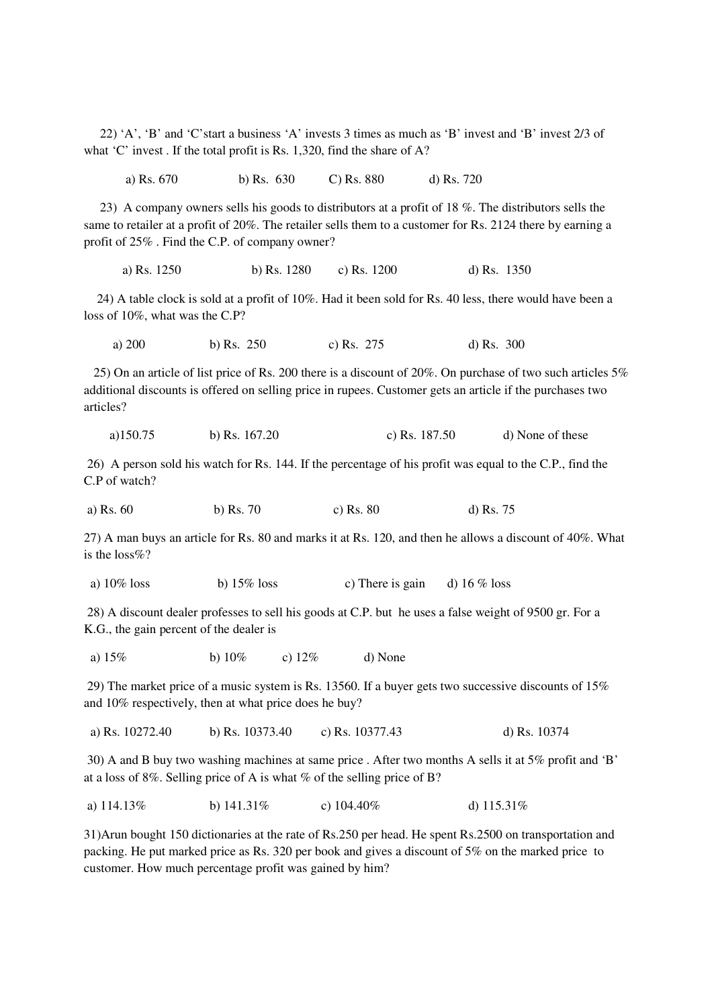22) 'A', 'B' and 'C'start a business 'A' invests 3 times as much as 'B' invest and 'B' invest 2/3 of what 'C' invest . If the total profit is Rs. 1,320, find the share of A?

a) Rs. 670 b) Rs. 630 C) Rs. 880 d) Rs. 720

 23) A company owners sells his goods to distributors at a profit of 18 %. The distributors sells the same to retailer at a profit of 20%. The retailer sells them to a customer for Rs. 2124 there by earning a profit of 25% . Find the C.P. of company owner?

a) Rs. 1250 b) Rs. 1280 c) Rs. 1200 d) Rs. 1350

 24) A table clock is sold at a profit of 10%. Had it been sold for Rs. 40 less, there would have been a loss of 10%, what was the C.P?

a) 200 b) Rs. 250 c) Rs. 275 d) Rs. 300

 25) On an article of list price of Rs. 200 there is a discount of 20%. On purchase of two such articles 5% additional discounts is offered on selling price in rupees. Customer gets an article if the purchases two articles?

a)150.75 b) Rs. 167.20 c) Rs. 187.50 d) None of these

 26) A person sold his watch for Rs. 144. If the percentage of his profit was equal to the C.P., find the C.P of watch?

a) Rs. 60 b) Rs. 70 c) Rs. 80 d) Rs. 75

27) A man buys an article for Rs. 80 and marks it at Rs. 120, and then he allows a discount of 40%. What is the loss%?

a)  $10\%$  loss b)  $15\%$  loss c) There is gain d)  $16\%$  loss

 28) A discount dealer professes to sell his goods at C.P. but he uses a false weight of 9500 gr. For a K.G., the gain percent of the dealer is

a)  $15\%$  b)  $10\%$  c)  $12\%$  d) None

 29) The market price of a music system is Rs. 13560. If a buyer gets two successive discounts of 15% and 10% respectively, then at what price does he buy?

a) Rs. 10272.40 b) Rs. 10373.40 c) Rs. 10377.43 d) Rs. 10374

 30) A and B buy two washing machines at same price . After two months A sells it at 5% profit and 'B' at a loss of 8%. Selling price of A is what % of the selling price of B?

a)  $114.13\%$  b)  $141.31\%$  c)  $104.40\%$  d)  $115.31\%$ 

31)Arun bought 150 dictionaries at the rate of Rs.250 per head. He spent Rs.2500 on transportation and packing. He put marked price as Rs. 320 per book and gives a discount of 5% on the marked price to customer. How much percentage profit was gained by him?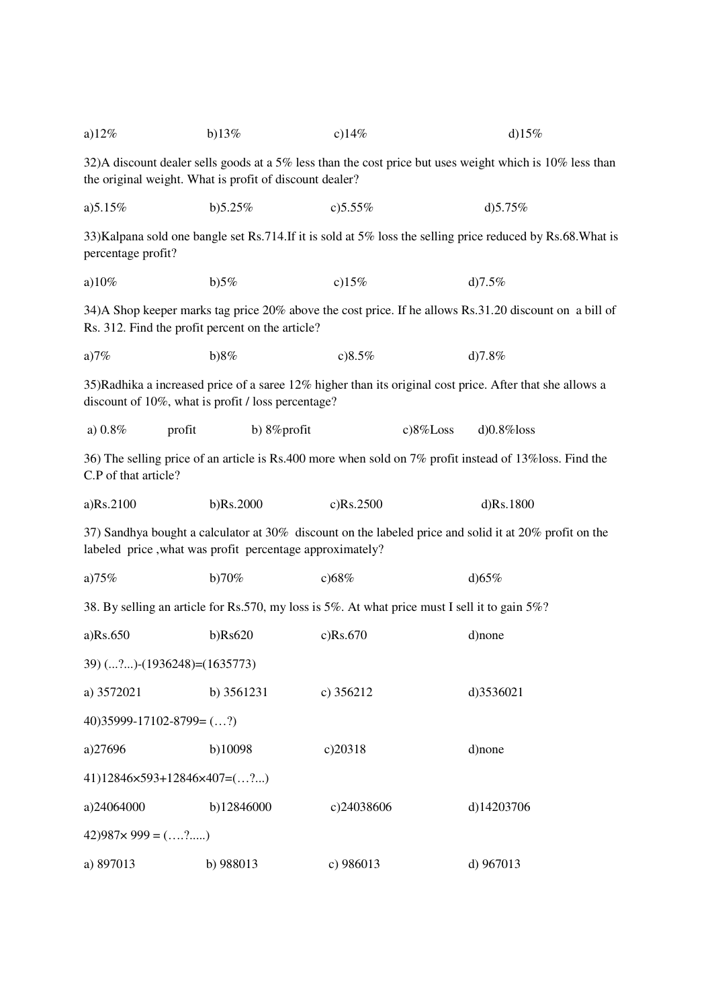| a) $12%$                                                                                                                                                            | b) $13\%$     | c)14%       | d) $15%$                                                                                                  |  |  |  |
|---------------------------------------------------------------------------------------------------------------------------------------------------------------------|---------------|-------------|-----------------------------------------------------------------------------------------------------------|--|--|--|
| 32)A discount dealer sells goods at a 5% less than the cost price but uses weight which is 10% less than<br>the original weight. What is profit of discount dealer? |               |             |                                                                                                           |  |  |  |
| a) $5.15%$                                                                                                                                                          | b)5.25%       | c) $5.55%$  | d) $5.75%$                                                                                                |  |  |  |
| percentage profit?                                                                                                                                                  |               |             | 33)Kalpana sold one bangle set Rs.714.If it is sold at 5% loss the selling price reduced by Rs.68.What is |  |  |  |
| a) $10\%$                                                                                                                                                           | b)5%          | c) $15%$    | d) $7.5%$                                                                                                 |  |  |  |
| 34) A Shop keeper marks tag price 20% above the cost price. If he allows Rs.31.20 discount on a bill of<br>Rs. 312. Find the profit percent on the article?         |               |             |                                                                                                           |  |  |  |
| a) $7%$                                                                                                                                                             | b)8%          | c)8.5%      | d) $7.8%$                                                                                                 |  |  |  |
| 35)Radhika a increased price of a saree 12% higher than its original cost price. After that she allows a<br>discount of 10%, what is profit / loss percentage?      |               |             |                                                                                                           |  |  |  |
| a) $0.8\%$<br>profit                                                                                                                                                | b) 8% profit  | $c)8\%Loss$ | $d$ ) $0.8\%$ loss                                                                                        |  |  |  |
| 36) The selling price of an article is Rs.400 more when sold on 7% profit instead of 13%loss. Find the<br>C.P of that article?                                      |               |             |                                                                                                           |  |  |  |
| a)Rs.2100                                                                                                                                                           | b)Rs.2000     | c)Rs.2500   | d)Rs.1800                                                                                                 |  |  |  |
| 37) Sandhya bought a calculator at 30% discount on the labeled price and solid it at 20% profit on the<br>labeled price, what was profit percentage approximately?  |               |             |                                                                                                           |  |  |  |
| a) $75%$                                                                                                                                                            | b)70%         | c)68%       | d) $65%$                                                                                                  |  |  |  |
| 38. By selling an article for Rs.570, my loss is 5%. At what price must I sell it to gain 5%?                                                                       |               |             |                                                                                                           |  |  |  |
| a)Rs.650                                                                                                                                                            | $b)$ Rs $620$ | c)Rs.670    | d)none                                                                                                    |  |  |  |
| 39) (?)-(1936248)=(1635773)                                                                                                                                         |               |             |                                                                                                           |  |  |  |
| a) 3572021                                                                                                                                                          | b) 3561231    | c) $356212$ | d)3536021                                                                                                 |  |  |  |
| $40)35999-17102-8799 = (?)$                                                                                                                                         |               |             |                                                                                                           |  |  |  |
| a)27696                                                                                                                                                             | b)10098       | c)20318     | d)none                                                                                                    |  |  |  |
| 41)12846×593+12846×407=(?)                                                                                                                                          |               |             |                                                                                                           |  |  |  |
| a)24064000                                                                                                                                                          | b)12846000    | c)24038606  | d)14203706                                                                                                |  |  |  |
| $(42)987 \times 999 = ($ ?                                                                                                                                          |               |             |                                                                                                           |  |  |  |
| a) 897013                                                                                                                                                           | b) 988013     | c) 986013   | d) 967013                                                                                                 |  |  |  |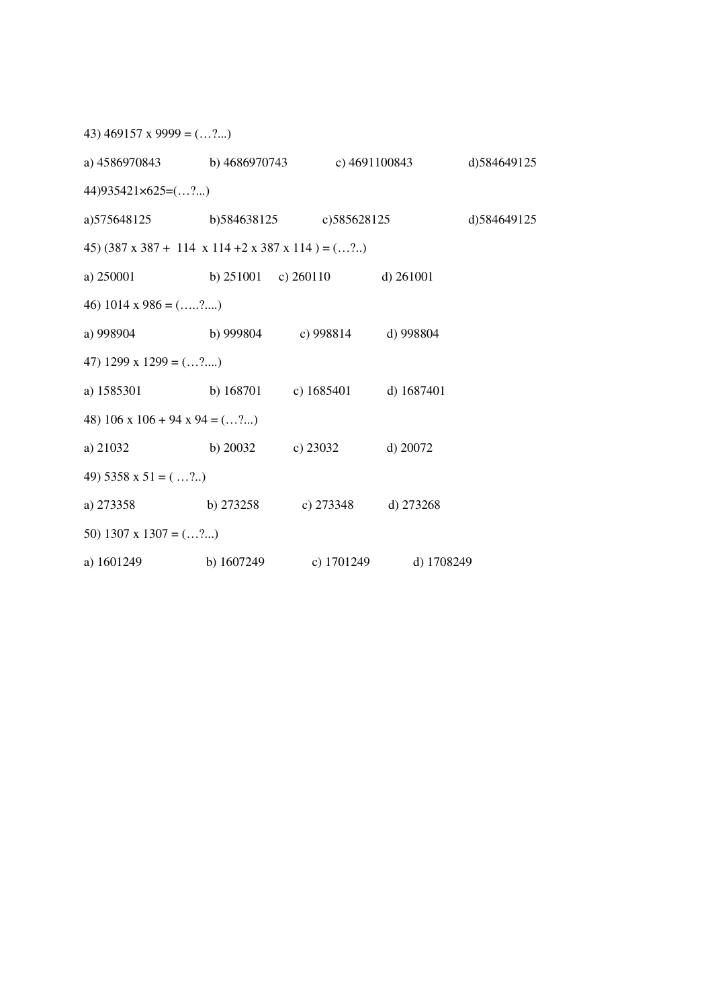| 43) $469157 \times 9999 = (?)$                                          |            |                                       |            |              |  |  |  |
|-------------------------------------------------------------------------|------------|---------------------------------------|------------|--------------|--|--|--|
| a) 4586970843 b) 4686970743 c) 4691100843                               |            |                                       |            | d) 584649125 |  |  |  |
| $44)935421\times625=(\ldots ?\ldots)$                                   |            |                                       |            |              |  |  |  |
| a)575648125 b)584638125 c)585628125                                     |            |                                       |            | d) 584649125 |  |  |  |
| 45) $(387 \times 387 + 114 \times 114 + 2 \times 387 \times 114) = (2)$ |            |                                       |            |              |  |  |  |
| a) 250001                                                               |            | b) $251001$ c) $260110$ d) $261001$   |            |              |  |  |  |
| 46) 1014 x 986 = $(2)$                                                  |            |                                       |            |              |  |  |  |
| a) 998904                                                               |            | b) 999804 c) 998814 d) 998804         |            |              |  |  |  |
| 47) 1299 x 1299 = $(?)$                                                 |            |                                       |            |              |  |  |  |
| a) 1585301                                                              |            | b) $168701$ c) $1685401$ d) $1687401$ |            |              |  |  |  |
| 48) $106 \times 106 + 94 \times 94 = (2)$                               |            |                                       |            |              |  |  |  |
| a) 21032                                                                | b) $20032$ | c) $23032$                            | d) $20072$ |              |  |  |  |
| 49) $5358 \times 51 = ( \dots ? \dots )$                                |            |                                       |            |              |  |  |  |
| a) 273358                                                               | b) 273258  | c) $273348$ d) $273268$               |            |              |  |  |  |
| 50) 1307 x 1307 = $(?)$                                                 |            |                                       |            |              |  |  |  |
| a) 1601249                                                              | b) 1607249 | c) 1701249                            | d) 1708249 |              |  |  |  |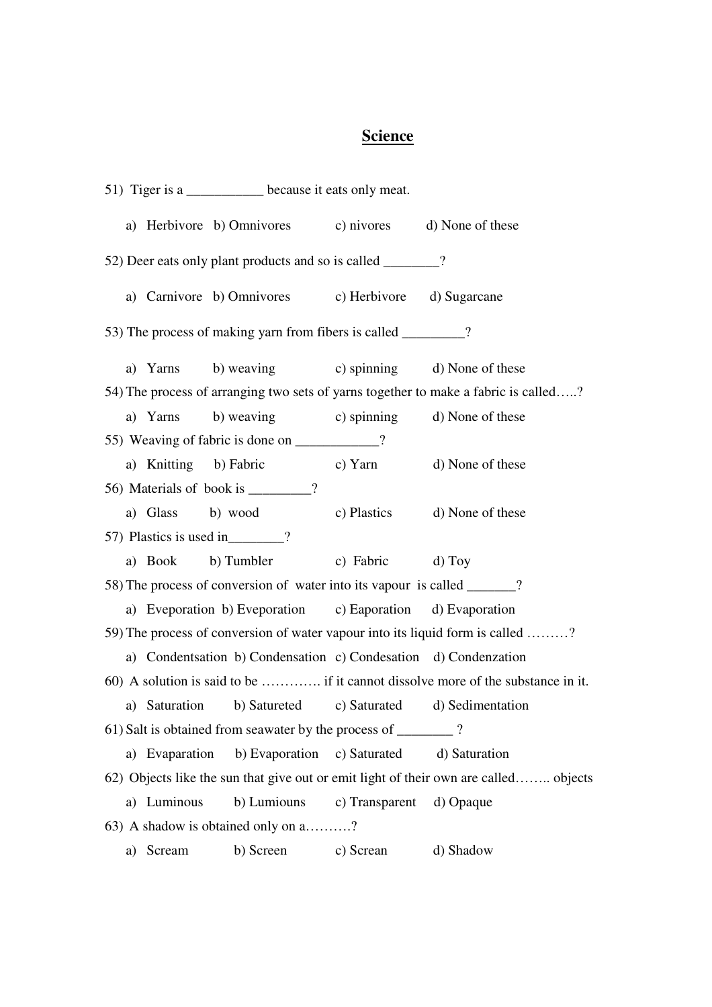## **Science**

51) Tiger is a \_\_\_\_\_\_\_\_\_\_\_ because it eats only meat. a) Herbivore b) Omnivores c) nivores d) None of these 52) Deer eats only plant products and so is called \_\_\_\_\_\_\_\_? a) Carnivore b) Omnivores c) Herbivore d) Sugarcane 53) The process of making yarn from fibers is called \_\_\_\_\_\_\_\_? a) Yarns b) weaving c) spinning d) None of these 54) The process of arranging two sets of yarns together to make a fabric is called…..? a) Yarns b) weaving c) spinning d) None of these 55) Weaving of fabric is done on  $\frac{1}{2}$ ? a) Knitting b) Fabric c) Yarn d) None of these 56) Materials of book is \_\_\_\_\_\_\_? a) Glass b) wood c) Plastics d) None of these 57) Plastics is used in\_\_\_\_\_\_\_\_? a) Book b) Tumbler c) Fabric d) Toy 58) The process of conversion of water into its vapour is called  $\gamma$ ? a) Eveporation b) Eveporation c) Eaporation d) Evaporation 59) The process of conversion of water vapour into its liquid form is called ………? a) Condentsation b) Condensation c) Condesation d) Condenzation 60) A solution is said to be …………. if it cannot dissolve more of the substance in it. a) Saturation b) Satureted c) Saturated d) Sedimentation 61) Salt is obtained from seawater by the process of \_\_\_\_\_\_\_\_ ? a) Evaparation b) Evaporation c) Saturated d) Saturation 62) Objects like the sun that give out or emit light of their own are called…….. objects a) Luminous b) Lumiouns c) Transparent d) Opaque 63) A shadow is obtained only on a……….? a) Scream b) Screen c) Screan d) Shadow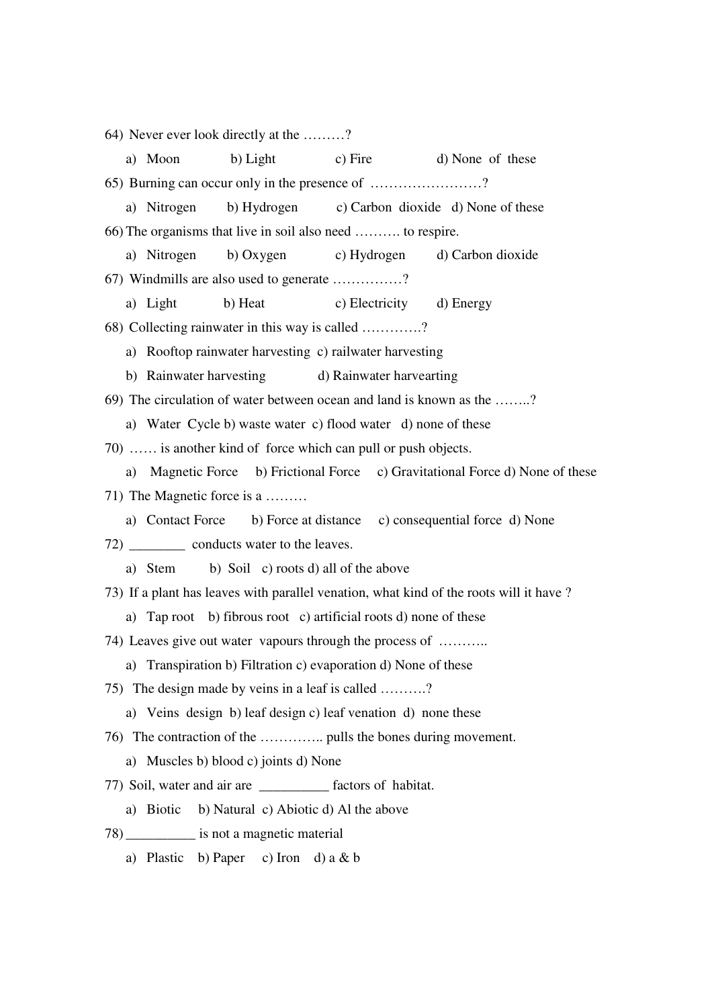64) Never ever look directly at the ………? a) Moon b) Light c) Fire d) None of these 65) Burning can occur only in the presence of ……………………? a) Nitrogen b) Hydrogen c) Carbon dioxide d) None of these 66) The organisms that live in soil also need ………. to respire. a) Nitrogen b) Oxygen c) Hydrogen d) Carbon dioxide 67) Windmills are also used to generate ……………? a) Light b) Heat c) Electricity d) Energy 68) Collecting rainwater in this way is called ………….? a) Rooftop rainwater harvesting c) railwater harvesting b) Rainwater harvesting d) Rainwater harvearting 69) The circulation of water between ocean and land is known as the ……..? a) Water Cycle b) waste water c) flood water d) none of these 70) …… is another kind of force which can pull or push objects. a) Magnetic Force b) Frictional Force c) Gravitational Force d) None of these 71) The Magnetic force is a ……… a) Contact Force b) Force at distance c) consequential force d) None 72) \_\_\_\_\_\_\_\_\_\_ conducts water to the leaves. a) Stem b) Soil c) roots d) all of the above 73) If a plant has leaves with parallel venation, what kind of the roots will it have ? a) Tap root b) fibrous root c) artificial roots d) none of these 74) Leaves give out water vapours through the process of ……….. a) Transpiration b) Filtration c) evaporation d) None of these 75) The design made by veins in a leaf is called ……….? a) Veins design b) leaf design c) leaf venation d) none these 76) The contraction of the ………….. pulls the bones during movement. a) Muscles b) blood c) joints d) None 77) Soil, water and air are \_\_\_\_\_\_\_\_\_\_ factors of habitat. a) Biotic b) Natural c) Abiotic d) Al the above 78) \_\_\_\_\_\_\_\_\_\_ is not a magnetic material a) Plastic b) Paper c) Iron d) a & b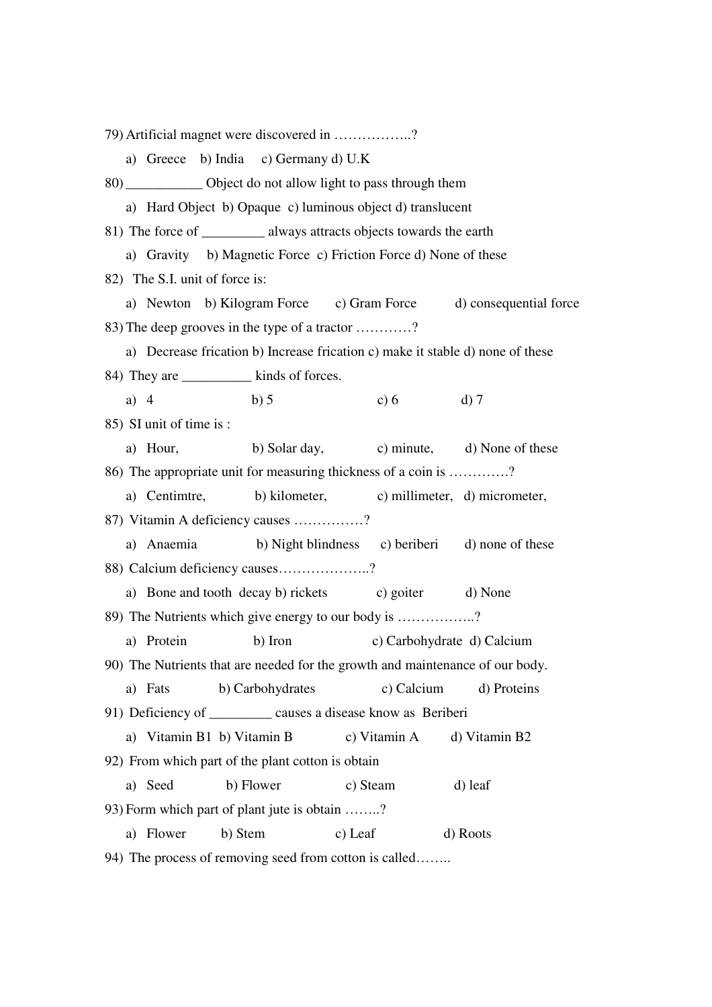79) Artificial magnet were discovered in ……………..? a) Greece b) India c) Germany d) U.K 80) \_\_\_\_\_\_\_\_\_\_\_ Object do not allow light to pass through them a) Hard Object b) Opaque c) luminous object d) translucent 81) The force of always attracts objects towards the earth a) Gravity b) Magnetic Force c) Friction Force d) None of these 82) The S.I. unit of force is: a) Newton b) Kilogram Force c) Gram Force d) consequential force 83) The deep grooves in the type of a tractor …………? a) Decrease frication b) Increase frication c) make it stable d) none of these 84) They are  $\mu$  kinds of forces. a) 4 b) 5 c) 6 d) 7 85) SI unit of time is : a) Hour, b) Solar day, c) minute, d) None of these 86) The appropriate unit for measuring thickness of a coin is ………….? a) Centimtre, b) kilometer, c) millimeter, d) micrometer, 87) Vitamin A deficiency causes ……………? a) Anaemia b) Night blindness c) beriberi d) none of these 88) Calcium deficiency causes………………..? a) Bone and tooth decay b) rickets c) goiter d) None 89) The Nutrients which give energy to our body is ……………..? a) Protein b) Iron c) Carbohydrate d) Calcium 90) The Nutrients that are needed for the growth and maintenance of our body. a) Fats b) Carbohydrates c) Calcium d) Proteins 91) Deficiency of causes a disease know as Beriberi a) Vitamin B1 b) Vitamin B c) Vitamin A d) Vitamin B2 92) From which part of the plant cotton is obtain a) Seed b) Flower c) Steam d) leaf 93) Form which part of plant jute is obtain ……..? a) Flower b) Stem c) Leaf d) Roots 94) The process of removing seed from cotton is called……..